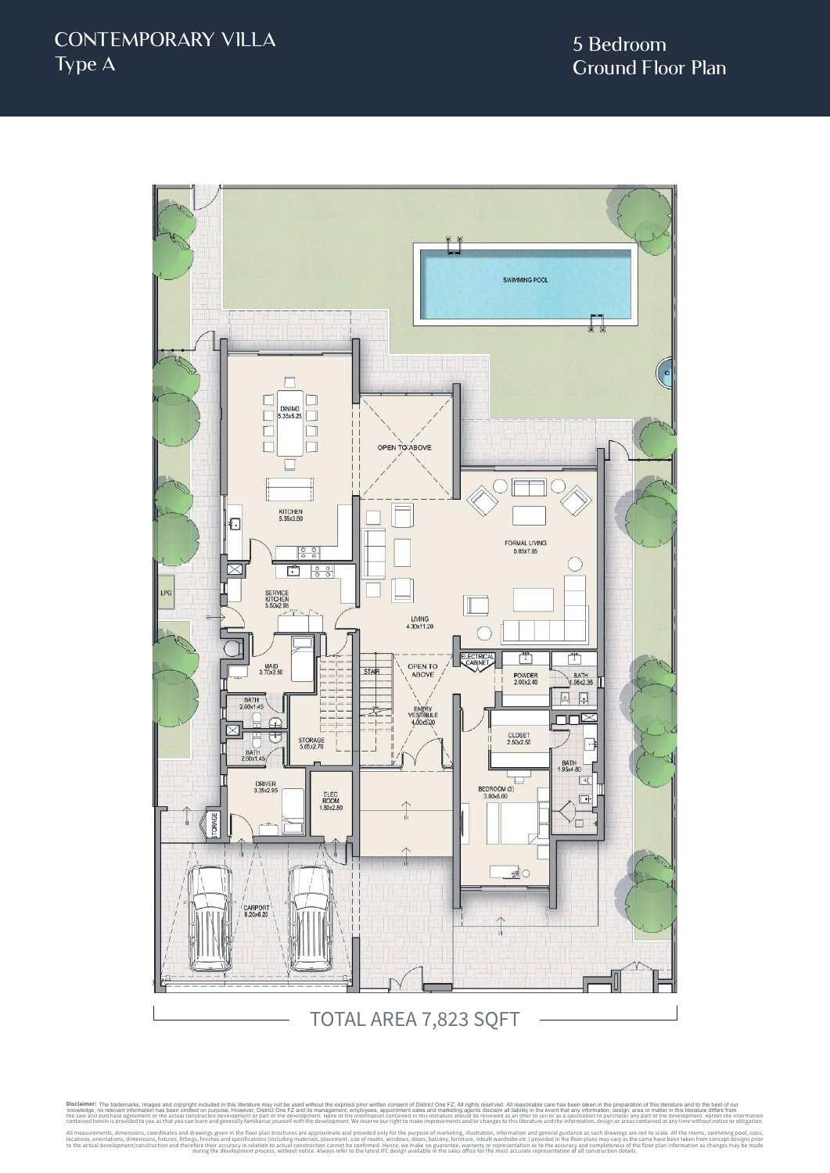

TOTAL AREA 7,823 SQFT

Disclaimer: The trademarks, images and copyright included in this literature may not be used without the express prior written consent of District One FZ. All rights reserved. All reasonable care has been taken in the prep knowledge, no relevant information has been omitted on purpose. However, District One FZ and its management, employese, appointmet sales and marketing agents discussed in the every metally and the every metally and the rev contained herein is provided to you as that you can learn and generally familiarise yourself with the development. We reserve our right to make improvements and/or changes to this literature and the information, design or All measurements, dimensions, coordinates and specifications (including materials, place approximate and provided only for the purpose of marketing, illustration, including materials placement, size of rooms, windows, door to the actual development/construction and therefore their accuracy in relation to actual construction cannot be confirmed. Hence, we make no guarantee, what heades office for the process, without notice. Always refer to t The trademarks, images and copyright included in this literature may not be used without the express prior written consent of District One FZ. All rights reserved. All reasonable care has been taken in the preparation of t